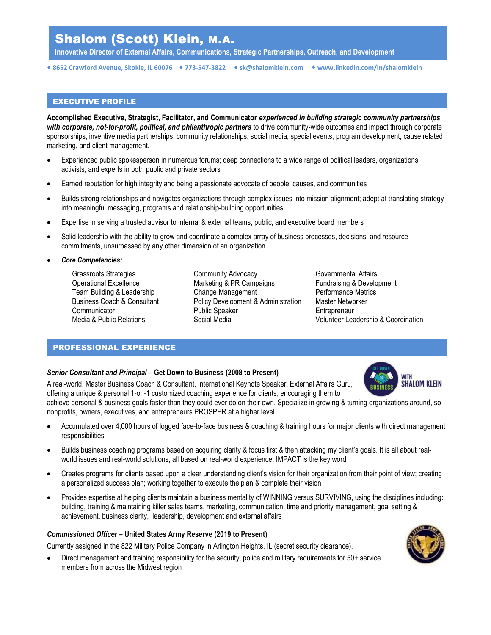# Shalom (Scott) Klein, M.A.

Innovative Director of External Affairs, Communications, Strategic Partnerships, Outreach, and Development

8652 Crawford Avenue, Skokie, IL 60076 773-547-3822 sk@shalomklein.com www.linkedin.com/in/shalomklein

#### EXECUTIVE PROFILE

Accomplished Executive, Strategist, Facilitator, and Communicator experienced in building strategic community partnerships with corporate, not-for-profit, political, and philanthropic partners to drive community-wide outcomes and impact through corporate sponsorships, inventive media partnerships, community relationships, social media, special events, program development, cause related marketing, and client management.

- Experienced public spokesperson in numerous forums; deep connections to a wide range of political leaders, organizations, activists, and experts in both public and private sectors
- Earned reputation for high integrity and being a passionate advocate of people, causes, and communities
- Builds strong relationships and navigates organizations through complex issues into mission alignment; adept at translating strategy into meaningful messaging, programs and relationship-building opportunities
- Expertise in serving a trusted advisor to internal & external teams, public, and executive board members
- Solid leadership with the ability to grow and coordinate a complex array of business processes, decisions, and resource commitments, unsurpassed by any other dimension of an organization

#### Core Competencies:

Grassroots Strategies **Community Advocacy** Governmental Affairs Operational Excellence Marketing & PR Campaigns Fundraising & Development Team Building & Leadership Change Management Performance Metrics Business Coach & Consultant Policy Development & Administration Master Networker Communicator Public Speaker Entrepreneur Media & Public Relations **Social Media** Volunteer Leadership & Coordination Volunteer Leadership & Coordination

### PROFESSIONAL EXPERIENCE

#### Senior Consultant and Principal – Get Down to Business (2008 to Present)

A real-world, Master Business Coach & Consultant, International Keynote Speaker, External Affairs Guru, offering a unique & personal 1-on-1 customized coaching experience for clients, encouraging them to



achieve personal & business goals faster than they could ever do on their own. Specialize in growing & turning organizations around, so nonprofits, owners, executives, and entrepreneurs PROSPER at a higher level.

- Accumulated over 4,000 hours of logged face-to-face business & coaching & training hours for major clients with direct management responsibilities
- Builds business coaching programs based on acquiring clarity & focus first & then attacking my client's goals. It is all about realworld issues and real-world solutions, all based on real-world experience. IMPACT is the key word
- Creates programs for clients based upon a clear understanding client's vision for their organization from their point of view; creating a personalized success plan; working together to execute the plan & complete their vision
- Provides expertise at helping clients maintain a business mentality of WINNING versus SURVIVING, using the disciplines including: building, training & maintaining killer sales teams, marketing, communication, time and priority management, goal setting & achievement, business clarity, leadership, development and external affairs

### Commissioned Officer – United States Army Reserve (2019 to Present)

Currently assigned in the 822 Military Police Company in Arlington Heights, IL (secret security clearance).

 Direct management and training responsibility for the security, police and military requirements for 50+ service members from across the Midwest region

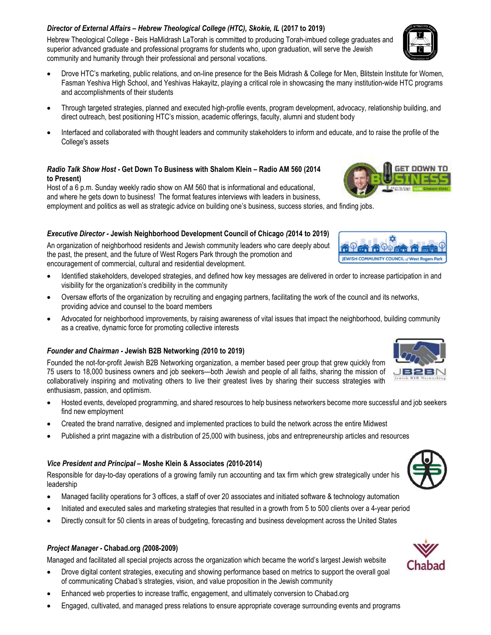# Director of External Affairs – Hebrew Theological College (HTC), Skokie, IL (2017 to 2019)

Hebrew Theological College - Beis HaMidrash LaTorah is committed to producing Torah-imbued college graduates and superior advanced graduate and professional programs for students who, upon graduation, will serve the Jewish community and humanity through their professional and personal vocations.

- Drove HTC's marketing, public relations, and on-line presence for the Beis Midrash & College for Men, Blitstein Institute for Women, Fasman Yeshiva High School, and Yeshivas Hakayitz, playing a critical role in showcasing the many institution-wide HTC programs and accomplishments of their students
- Through targeted strategies, planned and executed high-profile events, program development, advocacy, relationship building, and direct outreach, best positioning HTC's mission, academic offerings, faculty, alumni and student body
- Interfaced and collaborated with thought leaders and community stakeholders to inform and educate, and to raise the profile of the College's assets

#### Radio Talk Show Host - Get Down To Business with Shalom Klein – Radio AM 560 (2014 to Present)

Host of a 6 p.m. Sunday weekly radio show on AM 560 that is informational and educational, and where he gets down to business! The format features interviews with leaders in business, employment and politics as well as strategic advice on building one's business, success stories, and finding jobs.

## Executive Director - Jewish Neighborhood Development Council of Chicago (2014 to 2019)

An organization of neighborhood residents and Jewish community leaders who care deeply about the past, the present, and the future of West Rogers Park through the promotion and encouragement of commercial, cultural and residential development.

- Identified stakeholders, developed strategies, and defined how key messages are delivered in order to increase participation in and visibility for the organization's credibility in the community
- Oversaw efforts of the organization by recruiting and engaging partners, facilitating the work of the council and its networks, providing advice and counsel to the board members
- Advocated for neighborhood improvements, by raising awareness of vital issues that impact the neighborhood, building community as a creative, dynamic force for promoting collective interests

#### Founder and Chairman - Jewish B2B Networking (2010 to 2019)

Founded the not-for-profit Jewish B2B Networking organization, a member based peer group that grew quickly from 75 users to 18,000 business owners and job seekers—both Jewish and people of all faiths, sharing the mission of collaboratively inspiring and motivating others to live their greatest lives by sharing their success strategies with enthusiasm, passion, and optimism.

- Hosted events, developed programming, and shared resources to help business networkers become more successful and job seekers find new employment
- Created the brand narrative, designed and implemented practices to build the network across the entire Midwest
- Published a print magazine with a distribution of 25,000 with business, jobs and entrepreneurship articles and resources

#### Vice President and Principal – Moshe Klein & Associates (2010-2014)

Responsible for day-to-day operations of a growing family run accounting and tax firm which grew strategically under his leadership

- Managed facility operations for 3 offices, a staff of over 20 associates and initiated software & technology automation
- Initiated and executed sales and marketing strategies that resulted in a growth from 5 to 500 clients over a 4-year period
- Directly consult for 50 clients in areas of budgeting, forecasting and business development across the United States

## Project Manager - Chabad.org (2008-2009)

Managed and facilitated all special projects across the organization which became the world's largest Jewish website

- Drove digital content strategies, executing and showing performance based on metrics to support the overall goal of communicating Chabad's strategies, vision, and value proposition in the Jewish community
- Enhanced web properties to increase traffic, engagement, and ultimately conversion to Chabad.org
- Engaged, cultivated, and managed press relations to ensure appropriate coverage surrounding events and programs